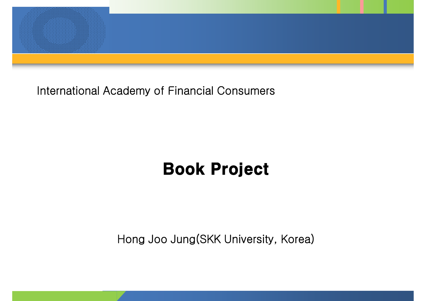

International Academy of Financial Consumers

### Book Project

Hong Joo Jung(SKK University, Korea)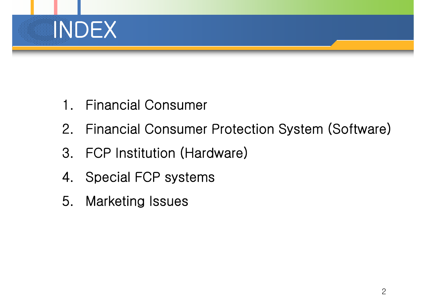

- 1. Financial Consumer
- 2. Financial Consumer Protection System (Software)
- 3. FCP Institution (Hardware)
- 4. Special FCP systems
- 5. Marketing Issues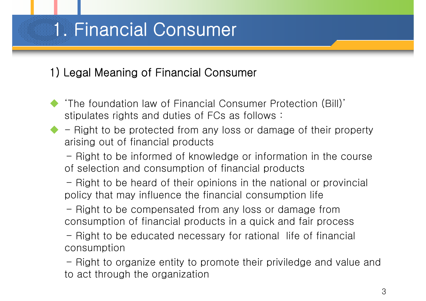### 1) Legal Meaning of Financial Consumer

- 'The foundation law of Financial Consumer Protection (Bill)' stipulates rights and duties of FCs as follows :
- Right to be protected from any loss or damage of their property arising out of financial products

- Right to be informed of knowledge or information in the course of selection and consumption of financial products

- Right to be heard of their opinions in the national or provincial policy that may influence the financial consumption life

- Right to be compensated from any loss or damage from consumption of financial products in a quick and fair process

- Right to be educated necessary for rational life of financial consumption

- Right to organize entity to promote their priviledge and value and to act through the organization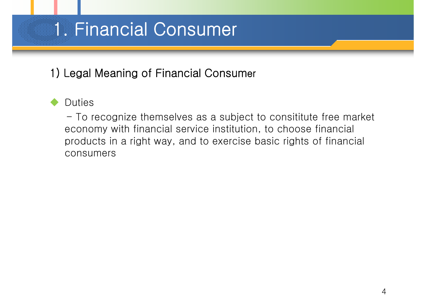### 1) Legal Meaning of Financial Consumer

#### **Duties**

- To recognize themselves as a subject to consititute free market economy with financial service institution, to choose financial products in a right way, and to exercise basic rights of financial consumers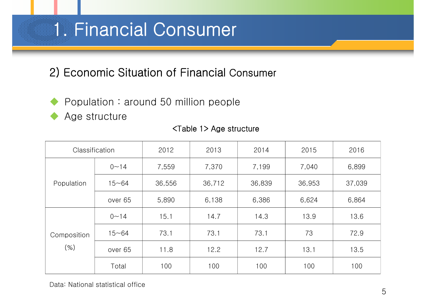### 2) Economic Situation of Financial Consumer

- Population : around 50 million people
	- Age structure

| Classification         |           | 2012   | 2013   | 2014   | 2015   | 2016   |
|------------------------|-----------|--------|--------|--------|--------|--------|
| Population             | $0 - 14$  | 7,559  | 7,370  | 7,199  | 7,040  | 6,899  |
|                        | $15 - 64$ | 36,556 | 36,712 | 36,839 | 36,953 | 37,039 |
|                        | over 65   | 5,890  | 6,138  | 6,386  | 6,624  | 6,864  |
| Composition<br>$(\% )$ | $0 - 14$  | 15.1   | 14.7   | 14.3   | 13.9   | 13.6   |
|                        | $15 - 64$ | 73.1   | 73.1   | 73.1   | 73     | 72.9   |
|                        | over 65   | 11.8   | 12.2   | 12.7   | 13.1   | 13.5   |
|                        | Total     | 100    | 100    | 100    | 100    | 100    |

#### <Table 1> Age structure

Data: National statistical office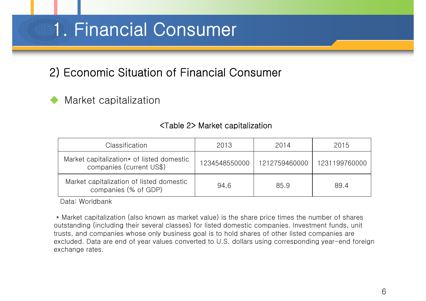### 2) Economic Situation of Financial Consumer

#### Market capitalization

#### <Table 2> Market capitalization

| Classification                                                        | 2013          | 2014          | 2015          |
|-----------------------------------------------------------------------|---------------|---------------|---------------|
| Market capitalization* of listed domestic<br>companies (current US\$) | 1234548550000 | 1212759460000 | 1231199760000 |
| Market capitalization of listed domestic<br>companies (% of GDP)      | 94.6          | 85.9          | 89.4          |

Data: Worldbank

\* Market capitalization (also known as market value) is the share price times the number of shares outstanding (including their several classes) for listed domestic companies. Investment funds, unit trusts, and companies whose only business goal is to hold shares of other listed companies are excluded. Data are end of year values converted to U.S. dollars using corresponding year-end foreign exchange rates.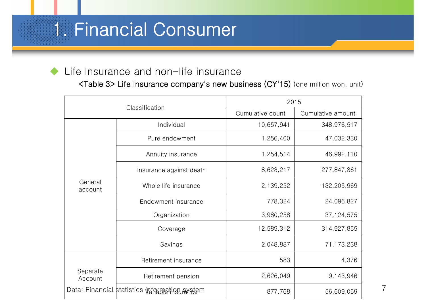#### Life Insurance and non-life insurance

<Table 3> Life Insurance company's new business (CY'15) (one million won, unit)

|                     |                                                | 2015             |                   |   |
|---------------------|------------------------------------------------|------------------|-------------------|---|
|                     | Classification                                 | Cumulative count | Cumulative amount |   |
|                     | Individual                                     | 10,657,941       | 348,976,517       |   |
|                     | Pure endowment                                 | 1,256,400        | 47,032,330        |   |
|                     | Annuity insurance                              | 1,254,514        | 46,992,110        |   |
|                     | Insurance against death                        | 8,623,217        | 277,847,361       |   |
| General<br>account  | Whole life insurance                           | 2,139,252        | 132,205,969       |   |
|                     | Endowment insurance                            | 778,324          | 24,096,827        |   |
|                     | Organization                                   | 3,980,258        | 37,124,575        |   |
|                     | Coverage                                       | 12,589,312       | 314,927,855       |   |
|                     | Savings                                        | 2,048,887        | 71,173,238        |   |
|                     | Retirement insurance                           | 583              | 4,376             |   |
| Separate<br>Account | Retirement pension                             | 2,626,049        | 9,143,946         |   |
|                     | Data: Financial statistics inframetion axistem | 877,768          | 56,609,059        | 7 |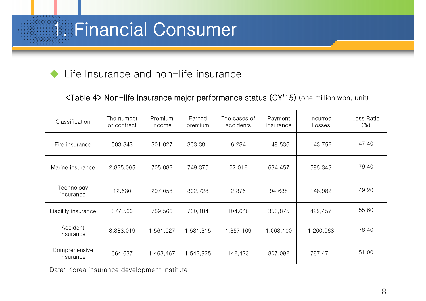Life Insurance and non-life insurance

<Table 4> Non-life insurance major performance status (CY'15) (one million won, unit)

| Classification             | The number<br>of contract | Premium<br>income | Earned<br>premium | The cases of<br>accidents | Payment<br>insurance | Incurred<br>Losses | Loss Ratio<br>(% ) |
|----------------------------|---------------------------|-------------------|-------------------|---------------------------|----------------------|--------------------|--------------------|
| Fire insurance             | 503,343                   | 301,027           | 303,381           | 6,284                     | 149,536              | 143,752            | 47.40              |
| Marine insurance           | 2,825,005                 | 705,082           | 749,375           | 22,012                    | 634,457              | 595,343            | 79.40              |
| Technology<br>insurance    | 12,630                    | 297,058           | 302,728           | 2,376                     | 94,638               | 148,982            | 49.20              |
| Liability insurance        | 877,566                   | 789,566           | 760,184           | 104,646                   | 353,875              | 422,457            | 55.60              |
| Accident<br>insurance      | 3,383,019                 | 1,561,027         | 1,531,315         | 1,357,109                 | 1,003,100            | 1,200,963          | 78.40              |
| Comprehensive<br>insurance | 664,637                   | 1,463,467         | 1,542,925         | 142,423                   | 807,092              | 787,471            | 51.00              |

Data: Korea insurance development institute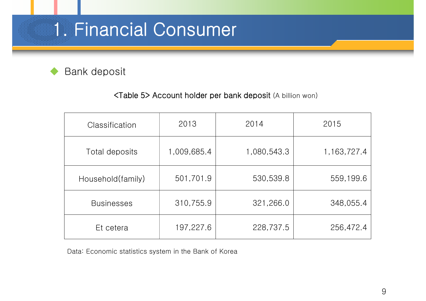#### Bank deposit

#### <Table 5> Account holder per bank deposit (A billion won)

| Classification    | 2013        | 2014        | 2015           |
|-------------------|-------------|-------------|----------------|
| Total deposits    | 1,009,685.4 | 1,080,543.3 | 1, 163, 727. 4 |
| Household(family) | 501,701.9   | 530,539.8   | 559,199.6      |
| <b>Businesses</b> | 310,755.9   | 321,266.0   | 348,055.4      |
| Et cetera         | 197,227.6   | 228,737.5   | 256,472.4      |

Data: Economic statistics system in the Bank of Korea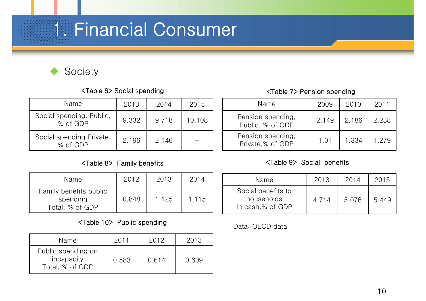

#### <Table 6> Social spending <Table 7> Pension spending

| Name                                 | 2013  | 2014  | 2015   |
|--------------------------------------|-------|-------|--------|
| Social spending, Public,<br>% of GDP | 9.332 | 9.718 | 10.108 |
| Social spending Private,<br>% of GDP | 2.196 | 2.146 |        |

| Name                                                  | 2012  | 2013  | 2014  |
|-------------------------------------------------------|-------|-------|-------|
| Family benefits public<br>spending<br>Total, % of GDP | 0.848 | 1.125 | 1.115 |

#### <Table 10> Public spending<br>
Data: OECD data

| Name                                                | 201   | 2012  | 2013  |
|-----------------------------------------------------|-------|-------|-------|
| Public spending on<br>incapacity<br>Total, % of GDP | 0.583 | 0.614 | 0.609 |

| Name                                  | 2009  | 2010  | 2011  |
|---------------------------------------|-------|-------|-------|
| Pension spending,<br>Public, % of GDP | 2.149 | 2.186 | 2.238 |
| Pension spending,<br>Private,% of GDP | 1.01  | 1.334 | 1.279 |

#### <Table 8> Family benefits <Table 9> Social benefits

| Name                                                 | 2013  | 2014  | 2015  |
|------------------------------------------------------|-------|-------|-------|
| Social benefits to<br>households<br>In cash,% of GDP | 4.714 | 5.076 | 5.449 |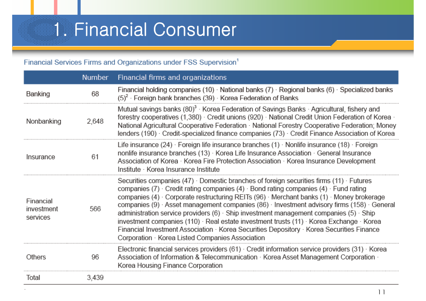#### Financial Services Firms and Organizations under FSS Supervision<sup>1</sup>

|                                     | <b>Number</b> | Financial firms and organizations                                                                                                                                                                                                                                                                                                                                                                                                                                                                                                                                                                                                                                                                |
|-------------------------------------|---------------|--------------------------------------------------------------------------------------------------------------------------------------------------------------------------------------------------------------------------------------------------------------------------------------------------------------------------------------------------------------------------------------------------------------------------------------------------------------------------------------------------------------------------------------------------------------------------------------------------------------------------------------------------------------------------------------------------|
| Banking                             | 68            | Financial holding companies (10) National banks (7) Regional banks (6) Specialized banks<br>$(5)^2$ · Foreign bank branches (39) · Korea Federation of Banks                                                                                                                                                                                                                                                                                                                                                                                                                                                                                                                                     |
| Nonbanking                          | 2,648         | Mutual savings banks (80) <sup>3</sup> · Korea Federation of Savings Banks · Agricultural, fishery and<br>forestry cooperatives (1,380) Credit unions (920) National Credit Union Federation of Korea ·<br>National Agricultural Cooperative Federation · National Forestry Cooperative Federation; Money<br>lenders (190) Credit-specialized finance companies (73) Credit Finance Association of Korea                                                                                                                                                                                                                                                                                         |
| Insurance                           | 61            | Life insurance (24) $\cdot$ Foreign life insurance branches (1) $\cdot$ Nonlife insurance (18) $\cdot$ Foreign<br>nonlife insurance branches (13) · Korea Life Insurance Association · General Insurance<br>Association of Korea · Korea Fire Protection Association · Korea Insurance Development<br>Institute · Korea Insurance Institute                                                                                                                                                                                                                                                                                                                                                      |
| Financial<br>investment<br>services | 566           | Securities companies (47) Domestic branches of foreign securities firms (11) Futures<br>companies (7) Credit rating companies (4) Bond rating companies (4) Fund rating<br>companies (4) Corporate restructuring REITs (96) Merchant banks (1) Money brokerage<br>companies (9) Asset management companies (86) Investment advisory firms (158) General<br>administration service providers $(6)$ · Ship investment management companies $(5)$ · Ship<br>investment companies (110) · Real estate investment trusts (11) · Korea Exchange · Korea<br>Financial Investment Association · Korea Securities Depository · Korea Securities Finance<br>Corporation Korea Listed Companies Association |
| Others                              | 96            | Electronic financial services providers (61) Credit information service providers (31) Korea<br>Association of Information & Telecommunication · Korea Asset Management Corporation ·<br>Korea Housing Finance Corporation                                                                                                                                                                                                                                                                                                                                                                                                                                                                       |
| Total                               | 3,439         |                                                                                                                                                                                                                                                                                                                                                                                                                                                                                                                                                                                                                                                                                                  |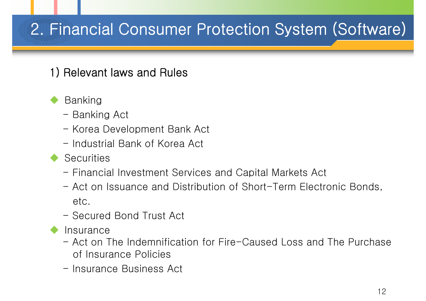### 1) Relevant laws and Rules

#### Banking

- Banking Act
- Korea Development Bank Act
- Industrial Bank of Korea Act
- **Securities** 
	- Financial Investment Services and Capital Markets Act
	- Act on Issuance and Distribution of Short-Term Electronic Bonds, etc.
	- Secured Bond Trust Act
- **Insurance** 
	- Act on The Indemnification for Fire-Caused Loss and The Purchase of Insurance Policies
	- Insurance Business Act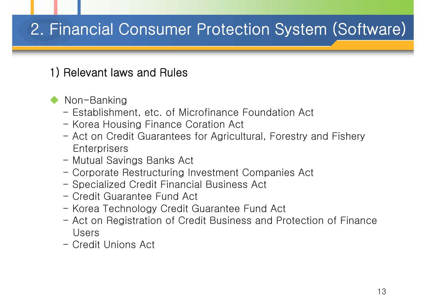### 1) Relevant laws and Rules

#### Non-Banking

- Establishment, etc. of Microfinance Foundation Act
- Korea Housing Finance Coration Act
- Act on Credit Guarantees for Agricultural, Forestry and Fishery **Enterprisers**
- Mutual Savings Banks Act
- Corporate Restructuring Investment Companies Act
- Specialized Credit Financial Business Act
- Credit Guarantee Fund Act
- Korea Technology Credit Guarantee Fund Act
- Act on Registration of Credit Business and Protection of Finance Users
- Credit Unions Act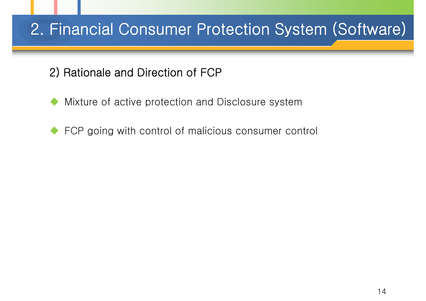### 2) Rationale and Direction of FCP

- Mixture of active protection and Disclosure system
- FCP going with control of malicious consumer control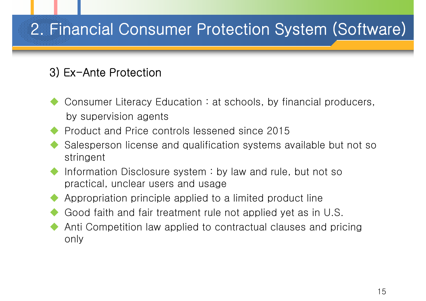### 3) Ex-Ante Protection

- Consumer Literacy Education : at schools, by financial producers, by supervision agents
- Product and Price controls lessened since 2015
- Salesperson license and qualification systems available but not so stringent
- Information Disclosure system : by law and rule, but not so practical, unclear users and usage
- Appropriation principle applied to a limited product line
- Good faith and fair treatment rule not applied yet as in U.S.
- Anti Competition law applied to contractual clauses and pricing only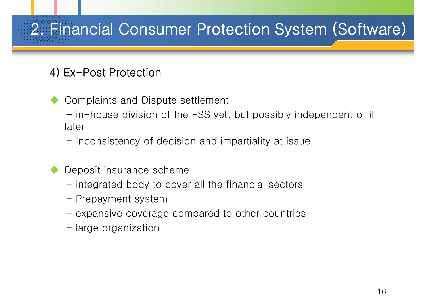### 4) Ex-Post Protection

- Complaints and Dispute settlement
	- in-house division of the FSS yet, but possibly independent of it later
	- Inconsistency of decision and impartiality at issue
- Deposit insurance scheme
	- integrated body to cover all the financial sectors
	- Prepayment system
	- expansive coverage compared to other countries
	- large organization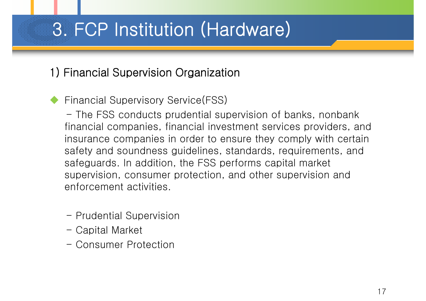# 3. FCP Institution (Hardware)

### 1) Financial Supervision Organization

#### Financial Supervisory Service(FSS)

- The FSS conducts prudential supervision of banks, nonbank financial companies, financial investment services providers, and insurance companies in order to ensure they comply with certain safety and soundness guidelines, standards, requirements, and safeguards. In addition, the FSS performs capital market supervision, consumer protection, and other supervision and enforcement activities.

- Prudential Supervision
- Capital Market
- Consumer Protection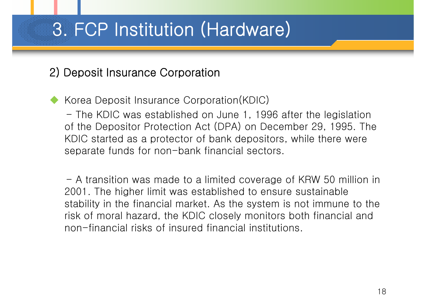# 3. FCP Institution (Hardware)

#### 2) Deposit Insurance Corporation

Korea Deposit Insurance Corporation(KDIC)

- The KDIC was established on June 1, 1996 after the legislation of the Depositor Protection Act (DPA) on December 29, 1995. The KDIC started as a protector of bank depositors, while there were separate funds for non-bank financial sectors.

- A transition was made to a limited coverage of KRW 50 million in 2001. The higher limit was established to ensure sustainable stability in the financial market. As the system is not immune to the risk of moral hazard, the KDIC closely monitors both financial and non-financial risks of insured financial institutions.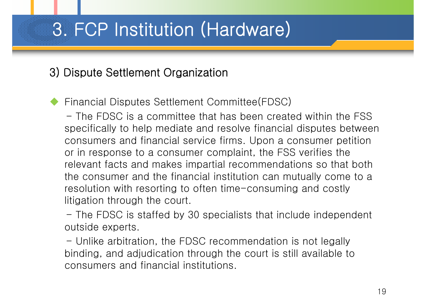# 3. FCP Institution (Hardware)

#### 3) Dispute Settlement Organization

Financial Disputes Settlement Committee(FDSC)

- The FDSC is a committee that has been created within the FSS specifically to help mediate and resolve financial disputes between consumers and financial service firms. Upon a consumer petition or in response to a consumer complaint, the FSS verifies the relevant facts and makes impartial recommendations so that both the consumer and the financial institution can mutually come to a resolution with resorting to often time-consuming and costly litigation through the court.

- The FDSC is staffed by 30 specialists that include independent outside experts.

- Unlike arbitration, the FDSC recommendation is not legally binding, and adjudication through the court is still available to consumers and financial institutions.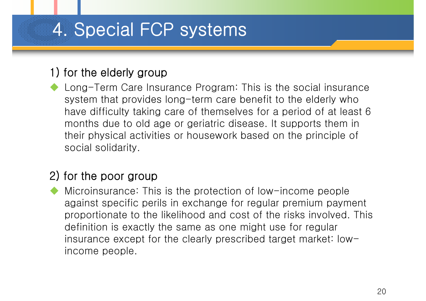# 4. Special FCP systems

#### 1) for the elderly group

 Long-Term Care Insurance Program: This is the social insurance system that provides long-term care benefit to the elderly who have difficulty taking care of themselves for a period of at least 6 months due to old age or geriatric disease. It supports them in their physical activities or housework based on the principle of social solidarity.

#### 2) for the poor group

 Microinsurance: This is the protection of low-income people against specific perils in exchange for regular premium payment proportionate to the likelihood and cost of the risks involved. This definition is exactly the same as one might use for regular insurance except for the clearly prescribed target market: lowincome people.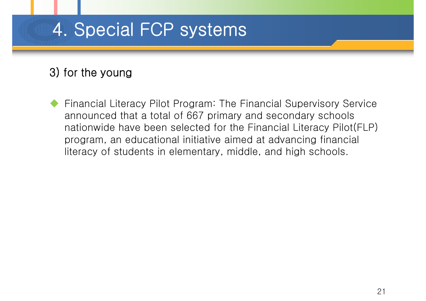# 4. Special FCP systems

### 3) for the young

 Financial Literacy Pilot Program: The Financial Supervisory Service announced that a total of 667 primary and secondary schools nationwide have been selected for the Financial Literacy Pilot(FLP) program, an educational initiative aimed at advancing financial literacy of students in elementary, middle, and high schools.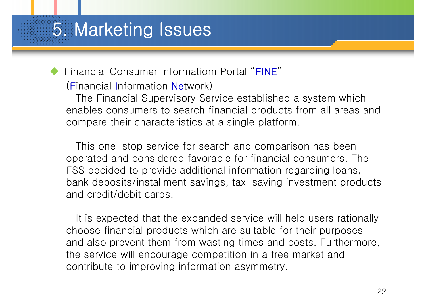### 5. Marketing Issues

 Financial Consumer Informatiom Portal "FINE" (Financial Information Network)

- The Financial Supervisory Service established a system which enables consumers to search financial products from all areas and compare their characteristics at a single platform.

- This one-stop service for search and comparison has been operated and considered favorable for financial consumers. The FSS decided to provide additional information regarding loans, bank deposits/installment savings, tax-saving investment products and credit/debit cards.

- It is expected that the expanded service will help users rationally choose financial products which are suitable for their purposes and also prevent them from wasting times and costs. Furthermore, the service will encourage competition in a free market and contribute to improving information asymmetry.